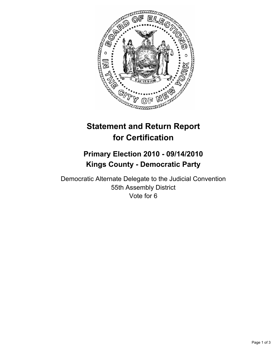

# **Statement and Return Report for Certification**

# **Primary Election 2010 - 09/14/2010 Kings County - Democratic Party**

Democratic Alternate Delegate to the Judicial Convention 55th Assembly District Vote for 6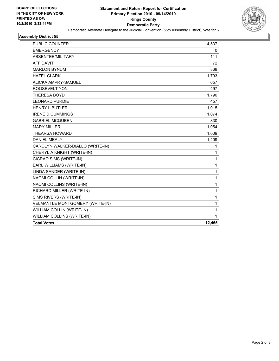

#### **Assembly District 55**

| <b>PUBLIC COUNTER</b>            | 4,537  |
|----------------------------------|--------|
| <b>EMERGENCY</b>                 | 0      |
| ABSENTEE/MILITARY                | 111    |
| <b>AFFIDAVIT</b>                 | 72     |
| <b>MARLON BYNUM</b>              | 868    |
| <b>HAZEL CLARK</b>               | 1,793  |
| ALICKA AMPRY-SAMUEL              | 657    |
| ROOSEVELT YON                    | 497    |
| <b>THERESA BOYD</b>              | 1,790  |
| <b>LEONARD PURDIE</b>            | 457    |
| <b>HENRY L BUTLER</b>            | 1,015  |
| <b>IRENE D CUMMINGS</b>          | 1,074  |
| <b>GABRIEL MCQUEEN</b>           | 830    |
| <b>MARY MILLER</b>               | 1,054  |
| <b>THEARSA HOWARD</b>            | 1,009  |
| <b>DANIEL MEALY</b>              | 1,409  |
| CAROLYN WALKER-DIALLO (WRITE-IN) | 1      |
| CHERYL A KNIGHT (WRITE-IN)       | 1      |
| CICRAO SIMS (WRITE-IN)           | 1      |
| EARL WILLIAMS (WRITE-IN)         | 1      |
| LINDA SANDER (WRITE-IN)          | 1      |
| NAOMI COLLIN (WRITE-IN)          | 1      |
| NAOMI COLLINS (WRITE-IN)         | 1      |
| RICHARD MILLER (WRITE-IN)        | 1      |
| SIMS RIVERS (WRITE-IN)           | 1      |
| VELMANTLE MONTGOMERY (WRITE-IN)  | 1      |
| WILLIAM COLLIN (WRITE-IN)        | 1      |
| WILLIAM COLLINS (WRITE-IN)       | 1      |
| <b>Total Votes</b>               | 12,465 |